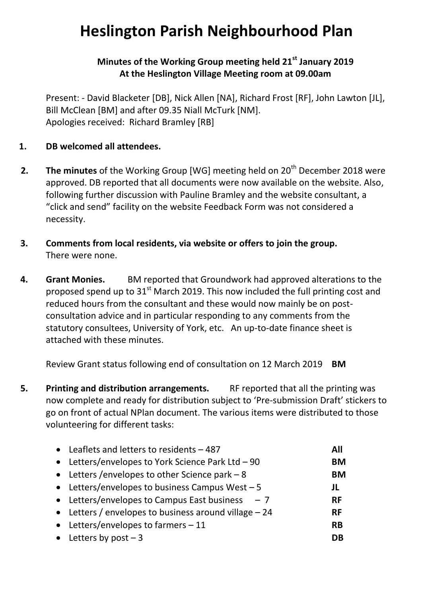## **Heslington Parish Neighbourhood Plan**

## **Minutes of the Working Group meeting held 21st January 2019 At the Heslington Village Meeting room at 09.00am**

Present: - David Blacketer [DB], Nick Allen [NA], Richard Frost [RF], John Lawton [JL], Bill McClean [BM] and after 09.35 Niall McTurk [NM]. Apologies received: Richard Bramley [RB]

- **1. DB welcomed all attendees.**
- **2.** The minutes of the Working Group [WG] meeting held on 20<sup>th</sup> December 2018 were approved. DB reported that all documents were now available on the website. Also, following further discussion with Pauline Bramley and the website consultant, a "click and send" facility on the website Feedback Form was not considered a necessity.
- **3. Comments from local residents, via website or offers to join the group.** There were none.
- **4. Grant Monies.** BM reported that Groundwork had approved alterations to the proposed spend up to  $31<sup>st</sup>$  March 2019. This now included the full printing cost and reduced hours from the consultant and these would now mainly be on postconsultation advice and in particular responding to any comments from the statutory consultees, University of York, etc. An up-to-date finance sheet is attached with these minutes.

Review Grant status following end of consultation on 12 March 2019 **BM**

**5. Printing and distribution arrangements.** RF reported that all the printing was now complete and ready for distribution subject to 'Pre-submission Draft' stickers to go on front of actual NPlan document. The various items were distributed to those volunteering for different tasks:

| • Leaflets and letters to residents $-487$             | All       |
|--------------------------------------------------------|-----------|
| • Letters/envelopes to York Science Park Ltd - 90      | <b>BM</b> |
| • Letters / envelopes to other Science park $-8$       | <b>BM</b> |
| • Letters/envelopes to business Campus West $-5$       | JL        |
| • Letters/envelopes to Campus East business $-7$       | <b>RF</b> |
| • Letters / envelopes to business around village $-24$ | <b>RF</b> |
| • Letters/envelopes to farmers $-11$                   | <b>RB</b> |
| • Letters by $post - 3$                                | DΒ        |